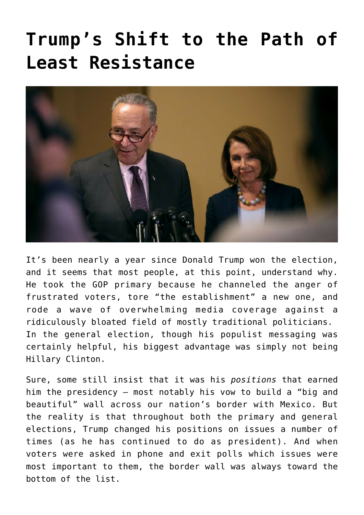## **[Trump's Shift to the Path of](https://bernardgoldberg.com/trumps-shift-to-the-path-of-least-resistance/) [Least Resistance](https://bernardgoldberg.com/trumps-shift-to-the-path-of-least-resistance/)**



It's been nearly a year since Donald Trump won the election, and it seems that most people, at this point, understand why. He took the GOP primary because he channeled the anger of frustrated voters, tore "the establishment" a new one, and rode a wave of overwhelming media coverage against a ridiculously bloated field of mostly traditional politicians. In the general election, though his populist messaging was certainly helpful, his biggest advantage was simply not being Hillary Clinton.

Sure, some still insist that it was his *positions* that earned him the presidency — most notably his vow to build a "big and beautiful" wall across our nation's border with Mexico. But the reality is that throughout both the primary and general elections, Trump changed his positions on issues a number of times (as he has continued to do as president). And when voters were asked in phone and exit polls which issues were most important to them, the border wall was always toward the bottom of the list.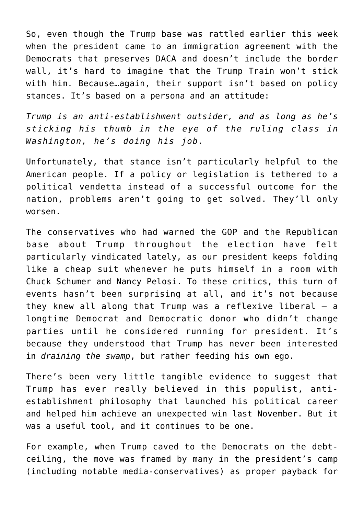So, even though the Trump base was rattled earlier this week when the president came to an immigration agreement with the Democrats that preserves DACA and doesn't include the border wall, it's hard to imagine that the Trump Train won't stick with him. Because…again, their support isn't based on policy stances. It's based on a persona and an attitude:

*Trump is an anti-establishment outsider, and as long as he's sticking his thumb in the eye of the ruling class in Washington, he's doing his job.*

Unfortunately, that stance isn't particularly helpful to the American people. If a policy or legislation is tethered to a political vendetta instead of a successful outcome for the nation, problems aren't going to get solved. They'll only worsen.

The conservatives who had warned the GOP and the Republican base about Trump throughout the election have felt particularly vindicated lately, as our president keeps folding like a cheap suit whenever he puts himself in a room with Chuck Schumer and Nancy Pelosi. To these critics, this turn of events hasn't been surprising at all, and it's not because they knew all along that Trump was a reflexive liberal — a longtime Democrat and Democratic donor who didn't change parties until he considered running for president. It's because they understood that Trump has never been interested in *draining the swamp*, but rather feeding his own ego.

There's been very little tangible evidence to suggest that Trump has ever really believed in this populist, antiestablishment philosophy that launched his political career and helped him achieve an unexpected win last November. But it was a useful tool, and it continues to be one.

For example, when Trump caved to the Democrats on the debtceiling, the move was framed by many in the president's camp (including notable media-conservatives) as [proper payback](https://bernardgoldberg.com/trump-sides-with-the-dems-rinos-apparently-to-blame/) for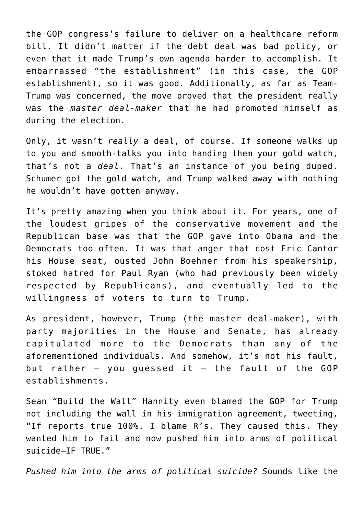the GOP congress's failure to deliver on a healthcare reform bill. It didn't matter if the debt deal was bad policy, or even that it made Trump's own agenda harder to accomplish. It embarrassed "the establishment" (in this case, the GOP establishment), so it was good. Additionally, as far as Team-Trump was concerned, the move proved that the president really was the *master deal-maker* that he had promoted himself as during the election.

Only, it wasn't *really* a deal, of course. If someone walks up to you and smooth-talks you into handing them your gold watch, that's not a *deal*. That's an instance of you being duped. Schumer got the gold watch, and Trump walked away with nothing he wouldn't have gotten anyway.

It's pretty amazing when you think about it. For years, one of the loudest gripes of the conservative movement and the Republican base was that the GOP gave into Obama and the Democrats too often. It was that anger that cost Eric Cantor his House seat, ousted John Boehner from his speakership, stoked hatred for Paul Ryan (who had previously been widely respected by Republicans), and eventually led to the willingness of voters to turn to Trump.

As president, however, Trump (the master deal-maker), with party majorities in the House and Senate, has already capitulated more to the Democrats than any of the aforementioned individuals. And somehow, it's not his fault, but rather  $-$  you guessed it  $-$  the fault of the GOP establishments.

Sean "Build the Wall" Hannity even blamed the GOP for Trump not including the wall in his immigration agreement, tweeting, "If reports true 100%. I blame R's. They caused this. They wanted him to fail and now pushed him into arms of political suicide–IF TRUE."

*Pushed him into the arms of political suicide? S*ounds like the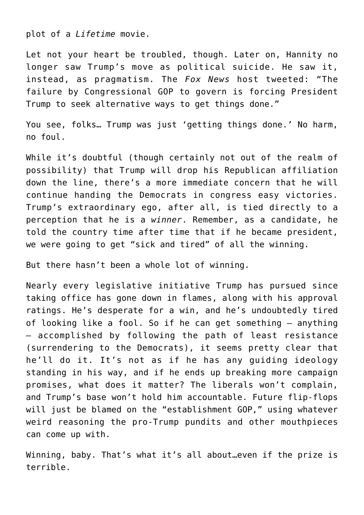plot of a *Lifetime* movie.

Let not your heart be troubled, though. Later on, Hannity no longer saw Trump's move as political suicide. He saw it, instead, as pragmatism. The *Fox News* host tweeted: "The failure by Congressional GOP to govern is forcing President Trump to seek alternative ways to get things done."

You see, folks… Trump was just 'getting things done.' No harm, no foul.

While it's doubtful (though certainly not out of the realm of possibility) that Trump will drop his Republican affiliation down the line, there's a more immediate concern that he will continue handing the Democrats in congress easy victories. Trump's extraordinary ego, after all, is tied directly to a perception that he is a *winner*. Remember, as a candidate, he told the country time after time that if he became president, we were going to get "sick and tired" of all the winning.

But there hasn't been a whole lot of winning.

Nearly every legislative initiative Trump has pursued since taking office has gone down in flames, along with his approval ratings. He's desperate for a win, and he's undoubtedly tired of looking like a fool. So if he can get something — anything — accomplished by following the path of least resistance (surrendering to the Democrats), it seems pretty clear that he'll do it. It's not as if he has any guiding ideology standing in his way, and if he ends up breaking more campaign promises, what does it matter? The liberals won't complain, and Trump's base won't hold him accountable. Future flip-flops will just be blamed on the "establishment GOP," using whatever weird reasoning the pro-Trump pundits and other mouthpieces can come up with.

Winning, baby. That's what it's all about…even if the prize is terrible.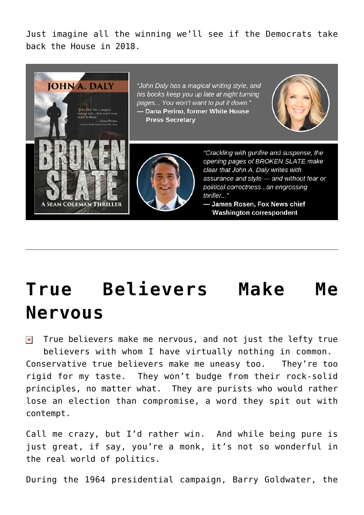Just imagine all the winning we'll see if the Democrats take back the House in 2018.



## **[True Believers Make Me](https://bernardgoldberg.com/true-believers-make-me-nervous/) [Nervous](https://bernardgoldberg.com/true-believers-make-me-nervous/)**

True believers make me nervous, and not just the lefty true  $\pmb{\times}$ believers with whom I have virtually nothing in common. Conservative true believers make me uneasy too. They're too rigid for my taste. They won't budge from their rock-solid principles, no matter what. They are purists who would rather lose an election than compromise, a word they spit out with contempt.

Call me crazy, but I'd rather win. And while being pure is just great, if say, you're a monk, it's not so wonderful in the real world of politics.

During the 1964 presidential campaign, Barry Goldwater, the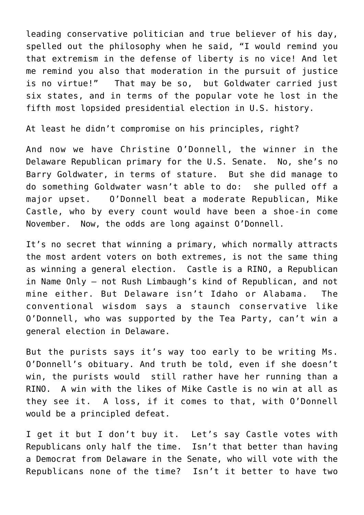leading conservative politician and true believer of his day, spelled out the philosophy when he said, "I would remind you that extremism in the defense of liberty is no vice! And let me remind you also that moderation in the pursuit of justice is no virtue!" That may be so, but Goldwater carried just six states, and in terms of the popular vote he lost in the fifth most lopsided presidential election in U.S. history.

At least he didn't compromise on his principles, right?

And now we have Christine O'Donnell, the winner in the Delaware Republican primary for the U.S. Senate. No, she's no Barry Goldwater, in terms of stature. But she did manage to do something Goldwater wasn't able to do: she pulled off a major upset. O'Donnell beat a moderate Republican, Mike Castle, who by every count would have been a shoe-in come November. Now, the odds are long against O'Donnell.

It's no secret that winning a primary, which normally attracts the most ardent voters on both extremes, is not the same thing as winning a general election. Castle is a RINO, a Republican in Name Only – not Rush Limbaugh's kind of Republican, and not mine either. But Delaware isn't Idaho or Alabama. The conventional wisdom says a staunch conservative like O'Donnell, who was supported by the Tea Party, can't win a general election in Delaware.

But the purists says it's way too early to be writing Ms. O'Donnell's obituary. And truth be told, even if she doesn't win, the purists would still rather have her running than a RINO. A win with the likes of Mike Castle is no win at all as they see it. A loss, if it comes to that, with O'Donnell would be a principled defeat.

I get it but I don't buy it. Let's say Castle votes with Republicans only half the time. Isn't that better than having a Democrat from Delaware in the Senate, who will vote with the Republicans none of the time? Isn't it better to have two